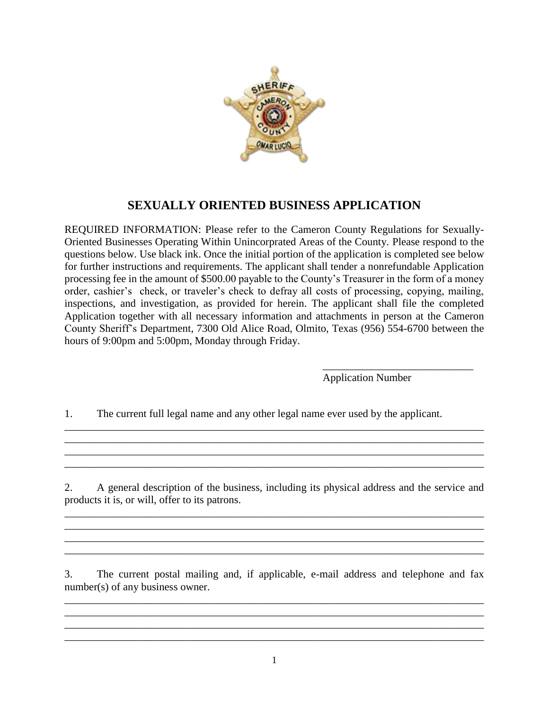

## **SEXUALLY ORIENTED BUSINESS APPLICATION**

REQUIRED INFORMATION: Please refer to the Cameron County Regulations for Sexually-Oriented Businesses Operating Within Unincorprated Areas of the County. Please respond to the questions below. Use black ink. Once the initial portion of the application is completed see below for further instructions and requirements. The applicant shall tender a nonrefundable Application processing fee in the amount of \$500.00 payable to the County's Treasurer in the form of a money order, cashier's check, or traveler's check to defray all costs of processing, copying, mailing, inspections, and investigation, as provided for herein. The applicant shall file the completed Application together with all necessary information and attachments in person at the Cameron County Sheriff's Department, 7300 Old Alice Road, Olmito, Texas (956) 554-6700 between the hours of 9:00pm and 5:00pm, Monday through Friday.

> \_\_\_\_\_\_\_\_\_\_\_\_\_\_\_\_\_\_\_\_\_\_\_\_\_\_\_\_ Application Number

1. The current full legal name and any other legal name ever used by the applicant.

2. A general description of the business, including its physical address and the service and products it is, or will, offer to its patrons.

\_\_\_\_\_\_\_\_\_\_\_\_\_\_\_\_\_\_\_\_\_\_\_\_\_\_\_\_\_\_\_\_\_\_\_\_\_\_\_\_\_\_\_\_\_\_\_\_\_\_\_\_\_\_\_\_\_\_\_\_\_\_\_\_\_\_\_\_\_\_\_\_\_\_\_\_\_\_ \_\_\_\_\_\_\_\_\_\_\_\_\_\_\_\_\_\_\_\_\_\_\_\_\_\_\_\_\_\_\_\_\_\_\_\_\_\_\_\_\_\_\_\_\_\_\_\_\_\_\_\_\_\_\_\_\_\_\_\_\_\_\_\_\_\_\_\_\_\_\_\_\_\_\_\_\_\_ \_\_\_\_\_\_\_\_\_\_\_\_\_\_\_\_\_\_\_\_\_\_\_\_\_\_\_\_\_\_\_\_\_\_\_\_\_\_\_\_\_\_\_\_\_\_\_\_\_\_\_\_\_\_\_\_\_\_\_\_\_\_\_\_\_\_\_\_\_\_\_\_\_\_\_\_\_\_

\_\_\_\_\_\_\_\_\_\_\_\_\_\_\_\_\_\_\_\_\_\_\_\_\_\_\_\_\_\_\_\_\_\_\_\_\_\_\_\_\_\_\_\_\_\_\_\_\_\_\_\_\_\_\_\_\_\_\_\_\_\_\_\_\_\_\_\_\_\_\_\_\_\_\_\_\_\_ \_\_\_\_\_\_\_\_\_\_\_\_\_\_\_\_\_\_\_\_\_\_\_\_\_\_\_\_\_\_\_\_\_\_\_\_\_\_\_\_\_\_\_\_\_\_\_\_\_\_\_\_\_\_\_\_\_\_\_\_\_\_\_\_\_\_\_\_\_\_\_\_\_\_\_\_\_\_ \_\_\_\_\_\_\_\_\_\_\_\_\_\_\_\_\_\_\_\_\_\_\_\_\_\_\_\_\_\_\_\_\_\_\_\_\_\_\_\_\_\_\_\_\_\_\_\_\_\_\_\_\_\_\_\_\_\_\_\_\_\_\_\_\_\_\_\_\_\_\_\_\_\_\_\_\_\_

3. The current postal mailing and, if applicable, e-mail address and telephone and fax number(s) of any business owner.

\_\_\_\_\_\_\_\_\_\_\_\_\_\_\_\_\_\_\_\_\_\_\_\_\_\_\_\_\_\_\_\_\_\_\_\_\_\_\_\_\_\_\_\_\_\_\_\_\_\_\_\_\_\_\_\_\_\_\_\_\_\_\_\_\_\_\_\_\_\_\_\_\_\_\_\_\_\_ \_\_\_\_\_\_\_\_\_\_\_\_\_\_\_\_\_\_\_\_\_\_\_\_\_\_\_\_\_\_\_\_\_\_\_\_\_\_\_\_\_\_\_\_\_\_\_\_\_\_\_\_\_\_\_\_\_\_\_\_\_\_\_\_\_\_\_\_\_\_\_\_\_\_\_\_\_\_

\_\_\_\_\_\_\_\_\_\_\_\_\_\_\_\_\_\_\_\_\_\_\_\_\_\_\_\_\_\_\_\_\_\_\_\_\_\_\_\_\_\_\_\_\_\_\_\_\_\_\_\_\_\_\_\_\_\_\_\_\_\_\_\_\_\_\_\_\_\_\_\_\_\_\_\_\_\_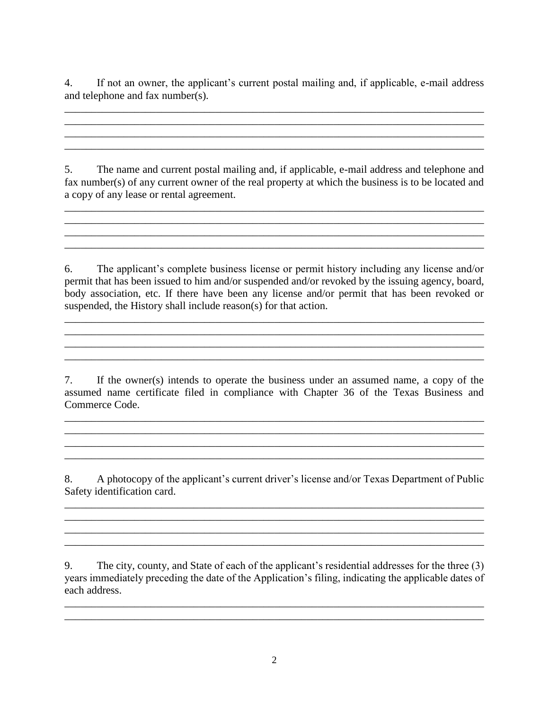4. If not an owner, the applicant's current postal mailing and, if applicable, e-mail address and telephone and fax number(s).

\_\_\_\_\_\_\_\_\_\_\_\_\_\_\_\_\_\_\_\_\_\_\_\_\_\_\_\_\_\_\_\_\_\_\_\_\_\_\_\_\_\_\_\_\_\_\_\_\_\_\_\_\_\_\_\_\_\_\_\_\_\_\_\_\_\_\_\_\_\_\_\_\_\_\_\_\_\_ \_\_\_\_\_\_\_\_\_\_\_\_\_\_\_\_\_\_\_\_\_\_\_\_\_\_\_\_\_\_\_\_\_\_\_\_\_\_\_\_\_\_\_\_\_\_\_\_\_\_\_\_\_\_\_\_\_\_\_\_\_\_\_\_\_\_\_\_\_\_\_\_\_\_\_\_\_\_ \_\_\_\_\_\_\_\_\_\_\_\_\_\_\_\_\_\_\_\_\_\_\_\_\_\_\_\_\_\_\_\_\_\_\_\_\_\_\_\_\_\_\_\_\_\_\_\_\_\_\_\_\_\_\_\_\_\_\_\_\_\_\_\_\_\_\_\_\_\_\_\_\_\_\_\_\_\_ \_\_\_\_\_\_\_\_\_\_\_\_\_\_\_\_\_\_\_\_\_\_\_\_\_\_\_\_\_\_\_\_\_\_\_\_\_\_\_\_\_\_\_\_\_\_\_\_\_\_\_\_\_\_\_\_\_\_\_\_\_\_\_\_\_\_\_\_\_\_\_\_\_\_\_\_\_\_

5. The name and current postal mailing and, if applicable, e-mail address and telephone and fax number(s) of any current owner of the real property at which the business is to be located and a copy of any lease or rental agreement.

\_\_\_\_\_\_\_\_\_\_\_\_\_\_\_\_\_\_\_\_\_\_\_\_\_\_\_\_\_\_\_\_\_\_\_\_\_\_\_\_\_\_\_\_\_\_\_\_\_\_\_\_\_\_\_\_\_\_\_\_\_\_\_\_\_\_\_\_\_\_\_\_\_\_\_\_\_\_

\_\_\_\_\_\_\_\_\_\_\_\_\_\_\_\_\_\_\_\_\_\_\_\_\_\_\_\_\_\_\_\_\_\_\_\_\_\_\_\_\_\_\_\_\_\_\_\_\_\_\_\_\_\_\_\_\_\_\_\_\_\_\_\_\_\_\_\_\_\_\_\_\_\_\_\_\_\_

6. The applicant's complete business license or permit history including any license and/or permit that has been issued to him and/or suspended and/or revoked by the issuing agency, board, body association, etc. If there have been any license and/or permit that has been revoked or suspended, the History shall include reason(s) for that action.

 $\mathcal{L}_\mathcal{L} = \{ \mathcal{L}_\mathcal{L} = \{ \mathcal{L}_\mathcal{L} = \{ \mathcal{L}_\mathcal{L} = \{ \mathcal{L}_\mathcal{L} = \{ \mathcal{L}_\mathcal{L} = \{ \mathcal{L}_\mathcal{L} = \{ \mathcal{L}_\mathcal{L} = \{ \mathcal{L}_\mathcal{L} = \{ \mathcal{L}_\mathcal{L} = \{ \mathcal{L}_\mathcal{L} = \{ \mathcal{L}_\mathcal{L} = \{ \mathcal{L}_\mathcal{L} = \{ \mathcal{L}_\mathcal{L} = \{ \mathcal{L}_\mathcal{$ 

 $\mathcal{L}_\text{max}$  , and the set of the set of the set of the set of the set of the set of the set of the set of the set of the set of the set of the set of the set of the set of the set of the set of the set of the set of the \_\_\_\_\_\_\_\_\_\_\_\_\_\_\_\_\_\_\_\_\_\_\_\_\_\_\_\_\_\_\_\_\_\_\_\_\_\_\_\_\_\_\_\_\_\_\_\_\_\_\_\_\_\_\_\_\_\_\_\_\_\_\_\_\_\_\_\_\_\_\_\_\_\_\_\_\_\_

7. If the owner(s) intends to operate the business under an assumed name, a copy of the assumed name certificate filed in compliance with Chapter 36 of the Texas Business and Commerce Code.

\_\_\_\_\_\_\_\_\_\_\_\_\_\_\_\_\_\_\_\_\_\_\_\_\_\_\_\_\_\_\_\_\_\_\_\_\_\_\_\_\_\_\_\_\_\_\_\_\_\_\_\_\_\_\_\_\_\_\_\_\_\_\_\_\_\_\_\_\_\_\_\_\_\_\_\_\_\_ \_\_\_\_\_\_\_\_\_\_\_\_\_\_\_\_\_\_\_\_\_\_\_\_\_\_\_\_\_\_\_\_\_\_\_\_\_\_\_\_\_\_\_\_\_\_\_\_\_\_\_\_\_\_\_\_\_\_\_\_\_\_\_\_\_\_\_\_\_\_\_\_\_\_\_\_\_\_

8. A photocopy of the applicant's current driver's license and/or Texas Department of Public Safety identification card.

\_\_\_\_\_\_\_\_\_\_\_\_\_\_\_\_\_\_\_\_\_\_\_\_\_\_\_\_\_\_\_\_\_\_\_\_\_\_\_\_\_\_\_\_\_\_\_\_\_\_\_\_\_\_\_\_\_\_\_\_\_\_\_\_\_\_\_\_\_\_\_\_\_\_\_\_\_\_

\_\_\_\_\_\_\_\_\_\_\_\_\_\_\_\_\_\_\_\_\_\_\_\_\_\_\_\_\_\_\_\_\_\_\_\_\_\_\_\_\_\_\_\_\_\_\_\_\_\_\_\_\_\_\_\_\_\_\_\_\_\_\_\_\_\_\_\_\_\_\_\_\_\_\_\_\_\_ \_\_\_\_\_\_\_\_\_\_\_\_\_\_\_\_\_\_\_\_\_\_\_\_\_\_\_\_\_\_\_\_\_\_\_\_\_\_\_\_\_\_\_\_\_\_\_\_\_\_\_\_\_\_\_\_\_\_\_\_\_\_\_\_\_\_\_\_\_\_\_\_\_\_\_\_\_\_

\_\_\_\_\_\_\_\_\_\_\_\_\_\_\_\_\_\_\_\_\_\_\_\_\_\_\_\_\_\_\_\_\_\_\_\_\_\_\_\_\_\_\_\_\_\_\_\_\_\_\_\_\_\_\_\_\_\_\_\_\_\_\_\_\_\_\_\_\_\_\_\_\_\_\_\_\_\_

9. The city, county, and State of each of the applicant's residential addresses for the three (3) years immediately preceding the date of the Application's filing, indicating the applicable dates of each address.

\_\_\_\_\_\_\_\_\_\_\_\_\_\_\_\_\_\_\_\_\_\_\_\_\_\_\_\_\_\_\_\_\_\_\_\_\_\_\_\_\_\_\_\_\_\_\_\_\_\_\_\_\_\_\_\_\_\_\_\_\_\_\_\_\_\_\_\_\_\_\_\_\_\_\_\_\_\_ \_\_\_\_\_\_\_\_\_\_\_\_\_\_\_\_\_\_\_\_\_\_\_\_\_\_\_\_\_\_\_\_\_\_\_\_\_\_\_\_\_\_\_\_\_\_\_\_\_\_\_\_\_\_\_\_\_\_\_\_\_\_\_\_\_\_\_\_\_\_\_\_\_\_\_\_\_\_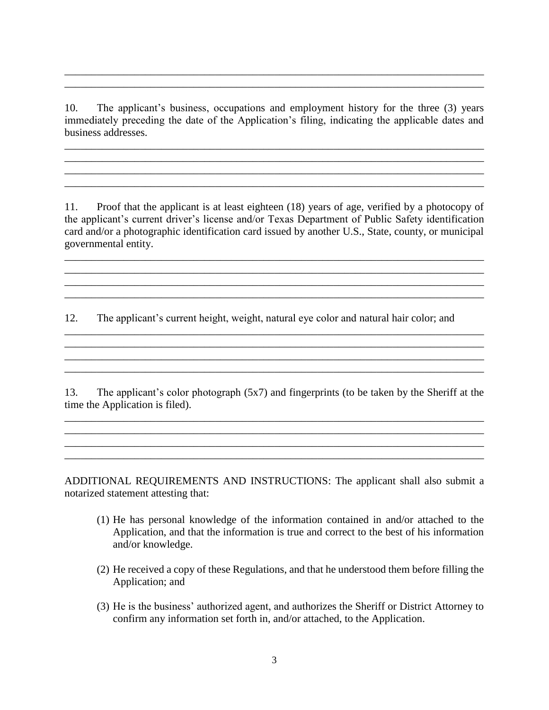10. The applicant's business, occupations and employment history for the three (3) years immediately preceding the date of the Application's filing, indicating the applicable dates and business addresses.

\_\_\_\_\_\_\_\_\_\_\_\_\_\_\_\_\_\_\_\_\_\_\_\_\_\_\_\_\_\_\_\_\_\_\_\_\_\_\_\_\_\_\_\_\_\_\_\_\_\_\_\_\_\_\_\_\_\_\_\_\_\_\_\_\_\_\_\_\_\_\_\_\_\_\_\_\_\_ \_\_\_\_\_\_\_\_\_\_\_\_\_\_\_\_\_\_\_\_\_\_\_\_\_\_\_\_\_\_\_\_\_\_\_\_\_\_\_\_\_\_\_\_\_\_\_\_\_\_\_\_\_\_\_\_\_\_\_\_\_\_\_\_\_\_\_\_\_\_\_\_\_\_\_\_\_\_ \_\_\_\_\_\_\_\_\_\_\_\_\_\_\_\_\_\_\_\_\_\_\_\_\_\_\_\_\_\_\_\_\_\_\_\_\_\_\_\_\_\_\_\_\_\_\_\_\_\_\_\_\_\_\_\_\_\_\_\_\_\_\_\_\_\_\_\_\_\_\_\_\_\_\_\_\_\_ \_\_\_\_\_\_\_\_\_\_\_\_\_\_\_\_\_\_\_\_\_\_\_\_\_\_\_\_\_\_\_\_\_\_\_\_\_\_\_\_\_\_\_\_\_\_\_\_\_\_\_\_\_\_\_\_\_\_\_\_\_\_\_\_\_\_\_\_\_\_\_\_\_\_\_\_\_\_

\_\_\_\_\_\_\_\_\_\_\_\_\_\_\_\_\_\_\_\_\_\_\_\_\_\_\_\_\_\_\_\_\_\_\_\_\_\_\_\_\_\_\_\_\_\_\_\_\_\_\_\_\_\_\_\_\_\_\_\_\_\_\_\_\_\_\_\_\_\_\_\_\_\_\_\_\_\_ \_\_\_\_\_\_\_\_\_\_\_\_\_\_\_\_\_\_\_\_\_\_\_\_\_\_\_\_\_\_\_\_\_\_\_\_\_\_\_\_\_\_\_\_\_\_\_\_\_\_\_\_\_\_\_\_\_\_\_\_\_\_\_\_\_\_\_\_\_\_\_\_\_\_\_\_\_\_

11. Proof that the applicant is at least eighteen (18) years of age, verified by a photocopy of the applicant's current driver's license and/or Texas Department of Public Safety identification card and/or a photographic identification card issued by another U.S., State, county, or municipal governmental entity.

\_\_\_\_\_\_\_\_\_\_\_\_\_\_\_\_\_\_\_\_\_\_\_\_\_\_\_\_\_\_\_\_\_\_\_\_\_\_\_\_\_\_\_\_\_\_\_\_\_\_\_\_\_\_\_\_\_\_\_\_\_\_\_\_\_\_\_\_\_\_\_\_\_\_\_\_\_\_ \_\_\_\_\_\_\_\_\_\_\_\_\_\_\_\_\_\_\_\_\_\_\_\_\_\_\_\_\_\_\_\_\_\_\_\_\_\_\_\_\_\_\_\_\_\_\_\_\_\_\_\_\_\_\_\_\_\_\_\_\_\_\_\_\_\_\_\_\_\_\_\_\_\_\_\_\_\_ \_\_\_\_\_\_\_\_\_\_\_\_\_\_\_\_\_\_\_\_\_\_\_\_\_\_\_\_\_\_\_\_\_\_\_\_\_\_\_\_\_\_\_\_\_\_\_\_\_\_\_\_\_\_\_\_\_\_\_\_\_\_\_\_\_\_\_\_\_\_\_\_\_\_\_\_\_\_ \_\_\_\_\_\_\_\_\_\_\_\_\_\_\_\_\_\_\_\_\_\_\_\_\_\_\_\_\_\_\_\_\_\_\_\_\_\_\_\_\_\_\_\_\_\_\_\_\_\_\_\_\_\_\_\_\_\_\_\_\_\_\_\_\_\_\_\_\_\_\_\_\_\_\_\_\_\_

12. The applicant's current height, weight, natural eye color and natural hair color; and

13. The applicant's color photograph (5x7) and fingerprints (to be taken by the Sheriff at the time the Application is filed).

\_\_\_\_\_\_\_\_\_\_\_\_\_\_\_\_\_\_\_\_\_\_\_\_\_\_\_\_\_\_\_\_\_\_\_\_\_\_\_\_\_\_\_\_\_\_\_\_\_\_\_\_\_\_\_\_\_\_\_\_\_\_\_\_\_\_\_\_\_\_\_\_\_\_\_\_\_\_ \_\_\_\_\_\_\_\_\_\_\_\_\_\_\_\_\_\_\_\_\_\_\_\_\_\_\_\_\_\_\_\_\_\_\_\_\_\_\_\_\_\_\_\_\_\_\_\_\_\_\_\_\_\_\_\_\_\_\_\_\_\_\_\_\_\_\_\_\_\_\_\_\_\_\_\_\_\_ \_\_\_\_\_\_\_\_\_\_\_\_\_\_\_\_\_\_\_\_\_\_\_\_\_\_\_\_\_\_\_\_\_\_\_\_\_\_\_\_\_\_\_\_\_\_\_\_\_\_\_\_\_\_\_\_\_\_\_\_\_\_\_\_\_\_\_\_\_\_\_\_\_\_\_\_\_\_ \_\_\_\_\_\_\_\_\_\_\_\_\_\_\_\_\_\_\_\_\_\_\_\_\_\_\_\_\_\_\_\_\_\_\_\_\_\_\_\_\_\_\_\_\_\_\_\_\_\_\_\_\_\_\_\_\_\_\_\_\_\_\_\_\_\_\_\_\_\_\_\_\_\_\_\_\_\_

\_\_\_\_\_\_\_\_\_\_\_\_\_\_\_\_\_\_\_\_\_\_\_\_\_\_\_\_\_\_\_\_\_\_\_\_\_\_\_\_\_\_\_\_\_\_\_\_\_\_\_\_\_\_\_\_\_\_\_\_\_\_\_\_\_\_\_\_\_\_\_\_\_\_\_\_\_\_ \_\_\_\_\_\_\_\_\_\_\_\_\_\_\_\_\_\_\_\_\_\_\_\_\_\_\_\_\_\_\_\_\_\_\_\_\_\_\_\_\_\_\_\_\_\_\_\_\_\_\_\_\_\_\_\_\_\_\_\_\_\_\_\_\_\_\_\_\_\_\_\_\_\_\_\_\_\_ \_\_\_\_\_\_\_\_\_\_\_\_\_\_\_\_\_\_\_\_\_\_\_\_\_\_\_\_\_\_\_\_\_\_\_\_\_\_\_\_\_\_\_\_\_\_\_\_\_\_\_\_\_\_\_\_\_\_\_\_\_\_\_\_\_\_\_\_\_\_\_\_\_\_\_\_\_\_

ADDITIONAL REQUIREMENTS AND INSTRUCTIONS: The applicant shall also submit a notarized statement attesting that:

- (1) He has personal knowledge of the information contained in and/or attached to the Application, and that the information is true and correct to the best of his information and/or knowledge.
- (2) He received a copy of these Regulations, and that he understood them before filling the Application; and
- (3) He is the business' authorized agent, and authorizes the Sheriff or District Attorney to confirm any information set forth in, and/or attached, to the Application.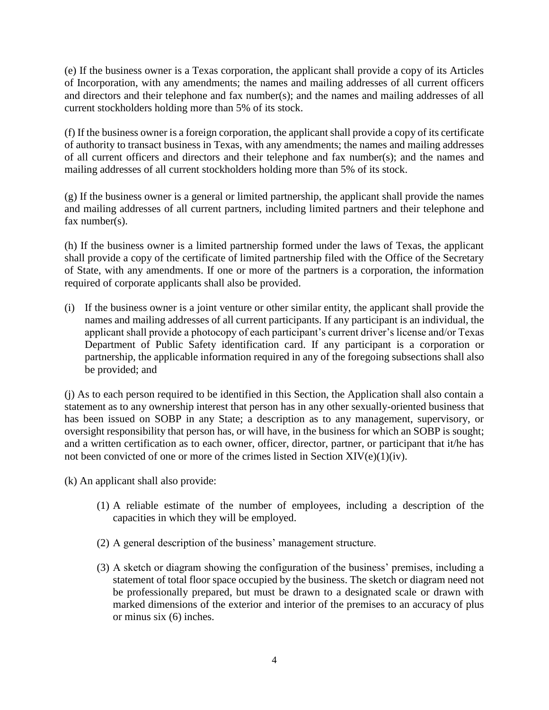(e) If the business owner is a Texas corporation, the applicant shall provide a copy of its Articles of Incorporation, with any amendments; the names and mailing addresses of all current officers and directors and their telephone and fax number(s); and the names and mailing addresses of all current stockholders holding more than 5% of its stock.

(f) If the business owner is a foreign corporation, the applicant shall provide a copy of its certificate of authority to transact business in Texas, with any amendments; the names and mailing addresses of all current officers and directors and their telephone and fax number(s); and the names and mailing addresses of all current stockholders holding more than 5% of its stock.

(g) If the business owner is a general or limited partnership, the applicant shall provide the names and mailing addresses of all current partners, including limited partners and their telephone and fax number(s).

(h) If the business owner is a limited partnership formed under the laws of Texas, the applicant shall provide a copy of the certificate of limited partnership filed with the Office of the Secretary of State, with any amendments. If one or more of the partners is a corporation, the information required of corporate applicants shall also be provided.

(i) If the business owner is a joint venture or other similar entity, the applicant shall provide the names and mailing addresses of all current participants. If any participant is an individual, the applicant shall provide a photocopy of each participant's current driver's license and/or Texas Department of Public Safety identification card. If any participant is a corporation or partnership, the applicable information required in any of the foregoing subsections shall also be provided; and

(j) As to each person required to be identified in this Section, the Application shall also contain a statement as to any ownership interest that person has in any other sexually-oriented business that has been issued on SOBP in any State; a description as to any management, supervisory, or oversight responsibility that person has, or will have, in the business for which an SOBP is sought; and a written certification as to each owner, officer, director, partner, or participant that it/he has not been convicted of one or more of the crimes listed in Section XIV(e)(1)(iv).

(k) An applicant shall also provide:

- (1) A reliable estimate of the number of employees, including a description of the capacities in which they will be employed.
- (2) A general description of the business' management structure.
- (3) A sketch or diagram showing the configuration of the business' premises, including a statement of total floor space occupied by the business. The sketch or diagram need not be professionally prepared, but must be drawn to a designated scale or drawn with marked dimensions of the exterior and interior of the premises to an accuracy of plus or minus six (6) inches.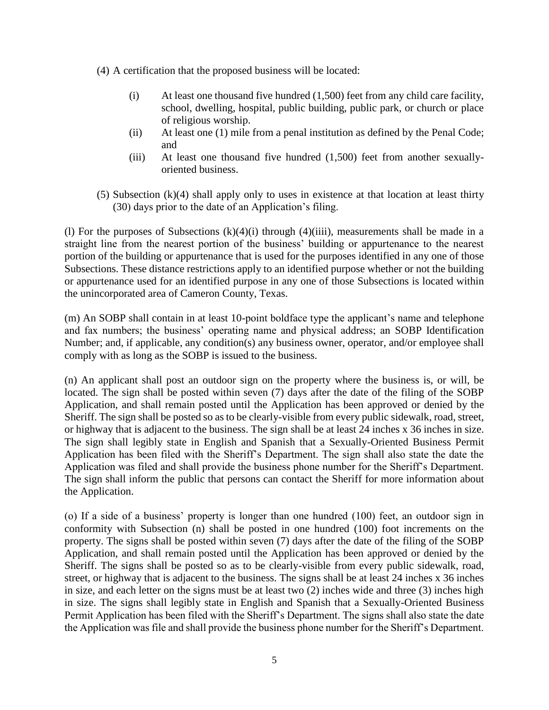- (4) A certification that the proposed business will be located:
	- (i) At least one thousand five hundred (1,500) feet from any child care facility, school, dwelling, hospital, public building, public park, or church or place of religious worship.
	- (ii) At least one (1) mile from a penal institution as defined by the Penal Code; and
	- (iii) At least one thousand five hundred (1,500) feet from another sexuallyoriented business.
- (5) Subsection (k)(4) shall apply only to uses in existence at that location at least thirty (30) days prior to the date of an Application's filing.

(l) For the purposes of Subsections  $(k)(4)(i)$  through  $(4)(iii)$ , measurements shall be made in a straight line from the nearest portion of the business' building or appurtenance to the nearest portion of the building or appurtenance that is used for the purposes identified in any one of those Subsections. These distance restrictions apply to an identified purpose whether or not the building or appurtenance used for an identified purpose in any one of those Subsections is located within the unincorporated area of Cameron County, Texas.

(m) An SOBP shall contain in at least 10-point boldface type the applicant's name and telephone and fax numbers; the business' operating name and physical address; an SOBP Identification Number; and, if applicable, any condition(s) any business owner, operator, and/or employee shall comply with as long as the SOBP is issued to the business.

(n) An applicant shall post an outdoor sign on the property where the business is, or will, be located. The sign shall be posted within seven (7) days after the date of the filing of the SOBP Application, and shall remain posted until the Application has been approved or denied by the Sheriff. The sign shall be posted so as to be clearly-visible from every public sidewalk, road, street, or highway that is adjacent to the business. The sign shall be at least 24 inches x 36 inches in size. The sign shall legibly state in English and Spanish that a Sexually-Oriented Business Permit Application has been filed with the Sheriff's Department. The sign shall also state the date the Application was filed and shall provide the business phone number for the Sheriff's Department. The sign shall inform the public that persons can contact the Sheriff for more information about the Application.

(o) If a side of a business' property is longer than one hundred (100) feet, an outdoor sign in conformity with Subsection (n) shall be posted in one hundred (100) foot increments on the property. The signs shall be posted within seven (7) days after the date of the filing of the SOBP Application, and shall remain posted until the Application has been approved or denied by the Sheriff. The signs shall be posted so as to be clearly-visible from every public sidewalk, road, street, or highway that is adjacent to the business. The signs shall be at least 24 inches x 36 inches in size, and each letter on the signs must be at least two (2) inches wide and three (3) inches high in size. The signs shall legibly state in English and Spanish that a Sexually-Oriented Business Permit Application has been filed with the Sheriff's Department. The signs shall also state the date the Application was file and shall provide the business phone number for the Sheriff's Department.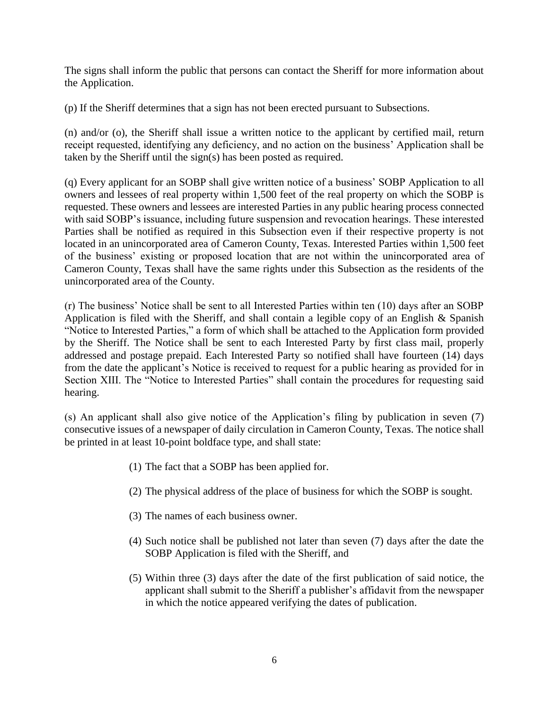The signs shall inform the public that persons can contact the Sheriff for more information about the Application.

(p) If the Sheriff determines that a sign has not been erected pursuant to Subsections.

(n) and/or (o), the Sheriff shall issue a written notice to the applicant by certified mail, return receipt requested, identifying any deficiency, and no action on the business' Application shall be taken by the Sheriff until the sign(s) has been posted as required.

(q) Every applicant for an SOBP shall give written notice of a business' SOBP Application to all owners and lessees of real property within 1,500 feet of the real property on which the SOBP is requested. These owners and lessees are interested Parties in any public hearing process connected with said SOBP's issuance, including future suspension and revocation hearings. These interested Parties shall be notified as required in this Subsection even if their respective property is not located in an unincorporated area of Cameron County, Texas. Interested Parties within 1,500 feet of the business' existing or proposed location that are not within the unincorporated area of Cameron County, Texas shall have the same rights under this Subsection as the residents of the unincorporated area of the County.

(r) The business' Notice shall be sent to all Interested Parties within ten (10) days after an SOBP Application is filed with the Sheriff, and shall contain a legible copy of an English & Spanish "Notice to Interested Parties," a form of which shall be attached to the Application form provided by the Sheriff. The Notice shall be sent to each Interested Party by first class mail, properly addressed and postage prepaid. Each Interested Party so notified shall have fourteen (14) days from the date the applicant's Notice is received to request for a public hearing as provided for in Section XIII. The "Notice to Interested Parties" shall contain the procedures for requesting said hearing.

(s) An applicant shall also give notice of the Application's filing by publication in seven (7) consecutive issues of a newspaper of daily circulation in Cameron County, Texas. The notice shall be printed in at least 10-point boldface type, and shall state:

- (1) The fact that a SOBP has been applied for.
- (2) The physical address of the place of business for which the SOBP is sought.
- (3) The names of each business owner.
- (4) Such notice shall be published not later than seven (7) days after the date the SOBP Application is filed with the Sheriff, and
- (5) Within three (3) days after the date of the first publication of said notice, the applicant shall submit to the Sheriff a publisher's affidavit from the newspaper in which the notice appeared verifying the dates of publication.